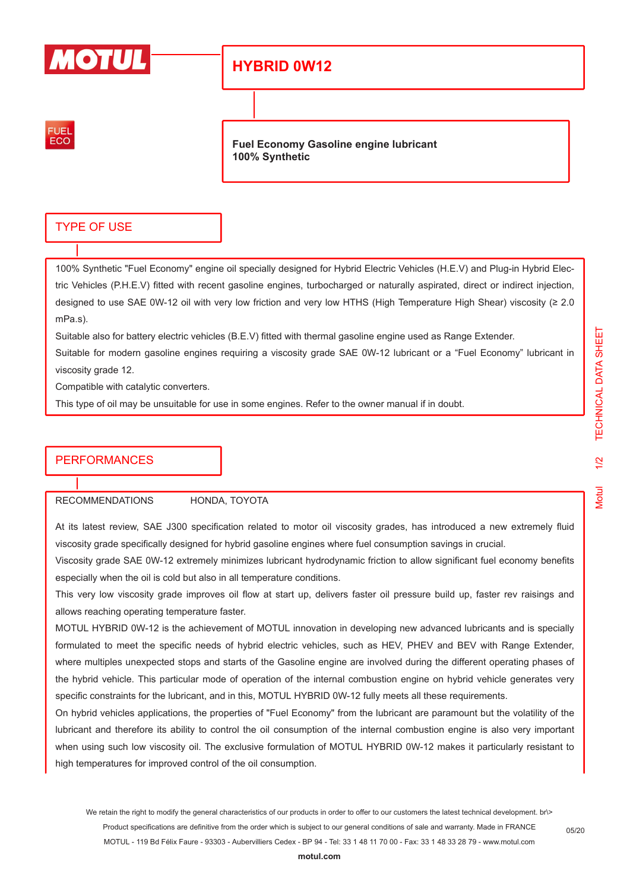

## **HYBRID 0W12**



**Fuel Economy Gasoline engine lubricant 100% Synthetic**

## TYPE OF USE

100% Synthetic "Fuel Economy" engine oil specially designed for Hybrid Electric Vehicles (H.E.V) and Plug-in Hybrid Electric Vehicles (P.H.E.V) fitted with recent gasoline engines, turbocharged or naturally aspirated, direct or indirect injection, designed to use SAE 0W-12 oil with very low friction and very low HTHS (High Temperature High Shear) viscosity (≥ 2.0 mPa.s).

Suitable also for battery electric vehicles (B.E.V) fitted with thermal gasoline engine used as Range Extender.

Suitable for modern gasoline engines requiring a viscosity grade SAE 0W-12 lubricant or a "Fuel Economy" lubricant in viscosity grade 12.

Compatible with catalytic converters.

This type of oil may be unsuitable for use in some engines. Refer to the owner manual if in doubt.

## **PERFORMANCES**

RECOMMENDATIONS HONDA, TOYOTA

At its latest review, SAE J300 specification related to motor oil viscosity grades, has introduced a new extremely fluid viscosity grade specifically designed for hybrid gasoline engines where fuel consumption savings in crucial.

Viscosity grade SAE 0W-12 extremely minimizes lubricant hydrodynamic friction to allow significant fuel economy benefits especially when the oil is cold but also in all temperature conditions.

This very low viscosity grade improves oil flow at start up, delivers faster oil pressure build up, faster rev raisings and allows reaching operating temperature faster.

MOTUL HYBRID 0W-12 is the achievement of MOTUL innovation in developing new advanced lubricants and is specially formulated to meet the specific needs of hybrid electric vehicles, such as HEV, PHEV and BEV with Range Extender, where multiples unexpected stops and starts of the Gasoline engine are involved during the different operating phases of the hybrid vehicle. This particular mode of operation of the internal combustion engine on hybrid vehicle generates very specific constraints for the lubricant, and in this, MOTUL HYBRID 0W-12 fully meets all these requirements.

On hybrid vehicles applications, the properties of "Fuel Economy" from the lubricant are paramount but the volatility of the lubricant and therefore its ability to control the oil consumption of the internal combustion engine is also very important when using such low viscosity oil. The exclusive formulation of MOTUL HYBRID 0W-12 makes it particularly resistant to high temperatures for improved control of the oil consumption.

We retain the right to modify the general characteristics of our products in order to offer to our customers the latest technical development. br\> Product specifications are definitive from the order which is subject to our general conditions of sale and warranty. Made in FRANCE MOTUL - 119 Bd Félix Faure - 93303 - Aubervilliers Cedex - BP 94 - Tel: 33 1 48 11 70 00 - Fax: 33 1 48 33 28 79 - www.motul.com